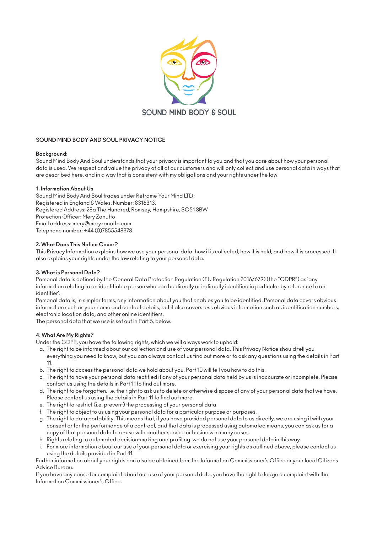

# **SOUND MIND BODY AND SOUL PRIVACY NOTICE**

#### **Background:**

Sound Mind Body And Soul understands that your privacy is important to you and that you care about how your personal data is used. We respect and value the privacy of all of our customers and will only collect and use personal data in ways that are described here, and in a way that is consistent with my obligations and your rights under the law.

#### **1. Information About Us**

Sound Mind Body And Soul trades under Reframe Your Mind LTD : Registered in England & Wales. Number: 8316313. Registered Address: 28a The Hundred, Romsey, Hampshire, SO51 8BW Protection Officer: Mery Zanutto Email address: mery@meryzanutto.com Telephone number: +44 (0)7855548378

#### **2. What Does This Notice Cover?**

This Privacy Information explains how we use your personal data: how it is collected, how it is held, and how it is processed. It also explains your rights under the law relating to your personal data.

#### **3. What is Personal Data?**

Personal data is defined by the General Data Protection Regulation (EU Regulation 2016/679) (the "GDPR") as 'any information relating to an identifiable person who can be directly or indirectly identified in particular by reference to an identifier'.

Personal data is, in simpler terms, any information about you that enables you to be identified. Personal data covers obvious information such as your name and contact details, but it also covers less obvious information such as identification numbers, electronic location data, and other online identifiers.

The personal data that we use is set out in Part 5, below.

# **4. What Are My Rights?**

Under the GDPR, you have the following rights, which we will always work to uphold:

- a. The right to be informed about our collection and use of your personal data. This Privacy Notice should tell you everything you need to know, but you can always contact us find out more or to ask any questions using the details in Part 11.
- b. The right to access the personal data we hold about you. Part 10 will tell you how to do this.
- c. The right to have your personal data rectified if any of your personal data held by us is inaccurate or incomplete. Please contact us using the details in Part 11 to find out more.
- d. The right to be forgotten, i.e. the right to ask us to delete or otherwise dispose of any of your personal data that we have. Please contact us using the details in Part 11 to find out more.
- e. The right to restrict (i.e. prevent) the processing of your personal data.
- f. The right to object to us using your personal data for a particular purpose or purposes.
- g. The right to data portability. This means that, if you have provided personal data to us directly, we are using it with your consent or for the performance of a contract, and that data is processed using automated means, you can ask us for a copy of that personal data to re-use with another service or business in many cases.
- h. Rights relating to automated decision-making and profiling. we do not use your personal data in this way.
- i. For more information about our use of your personal data or exercising your rights as outlined above, please contact us using the details provided in Part 11.

Further information about your rights can also be obtained from the Information Commissioner's Office or your local Citizens Advice Bureau.

If you have any cause for complaint about our use of your personal data, you have the right to lodge a complaint with the Information Commissioner's Office.